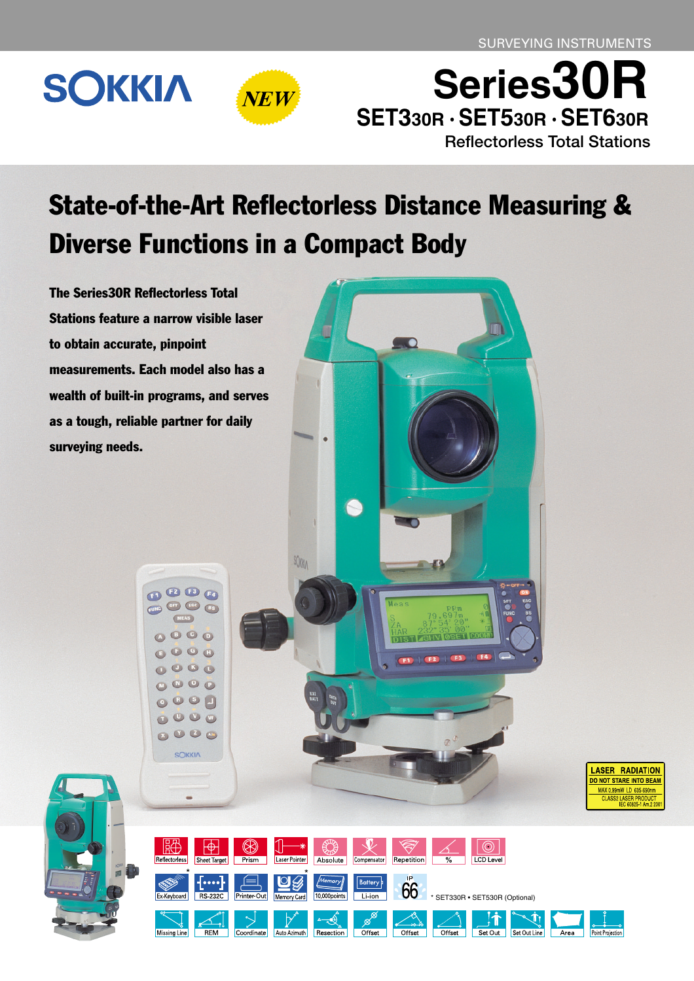# **SOKKIA**



**Reflectorless Total Stations Series30R SET330R · SET530R · SET630R**

## State-of-the-Art Reflectorless Distance Measuring & Diverse Functions in a Compact Body

SOMA

The Series30R Reflectorless Total Stations feature a narrow visible laser to obtain accurate, pinpoint measurements. Each model also has a wealth of built-in programs, and serves as a tough, reliable partner for daily surveying needs.

> $\n **0**$  $\begin{picture}(16,15) \put(0,0){\line(1,0){15}} \put(15,0){\line(1,0){15}} \put(15,0){\line(1,0){15}} \put(15,0){\line(1,0){15}} \put(15,0){\line(1,0){15}} \put(15,0){\line(1,0){15}} \put(15,0){\line(1,0){15}} \put(15,0){\line(1,0){15}} \put(15,0){\line(1,0){15}} \put(15,0){\line(1,0){15}} \put(15,0){\line(1,0){15}} \put(15,0){\line(1$

> > $000$  $\begin{array}{ccc}\n\bullet & \bullet & \bullet & \bullet\n\end{array}$  $\begin{array}{ccc}\n\bullet & \bullet & \bullet & \bullet\n\end{array}$  $000$

> > > $000$

 $\begin{array}{ccc} \bullet & \circ & \circ & \circ \end{array}$  $\begin{array}{ccc}\n\bullet & \bullet & \bullet & \bullet \\
\bullet & \bullet & \bullet & \bullet\n\end{array}$ **SOKKIA** 

 $\bullet$ 

 $\bullet$ 

LASER RADIATION DO NOT STARE INTO BEAM MAX 0.99mW LD 635-690nm